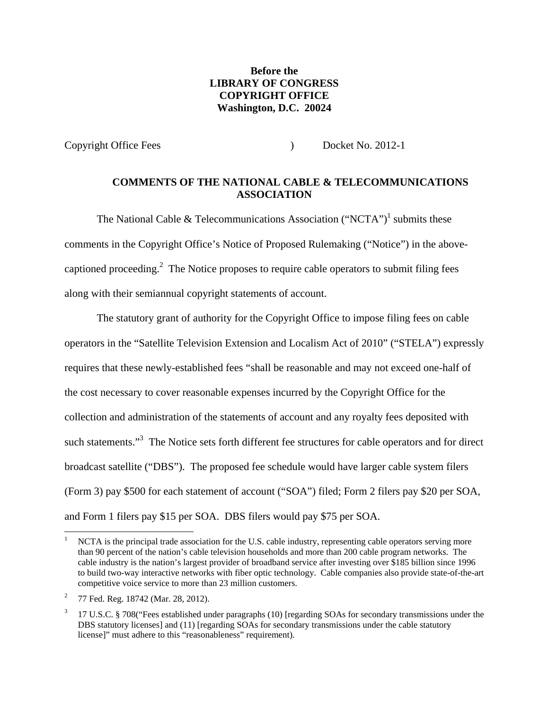# **Before the LIBRARY OF CONGRESS COPYRIGHT OFFICE Washington, D.C. 20024**

Copyright Office Fees ) Docket No. 2012-1

## **COMMENTS OF THE NATIONAL CABLE & TELECOMMUNICATIONS ASSOCIATION**

The National Cable & Telecommunications Association ("NCTA")<sup>1</sup> submits these comments in the Copyright Office's Notice of Proposed Rulemaking ("Notice") in the abovecaptioned proceeding.<sup>2</sup> The Notice proposes to require cable operators to submit filing fees along with their semiannual copyright statements of account.

The statutory grant of authority for the Copyright Office to impose filing fees on cable operators in the "Satellite Television Extension and Localism Act of 2010" ("STELA") expressly requires that these newly-established fees "shall be reasonable and may not exceed one-half of the cost necessary to cover reasonable expenses incurred by the Copyright Office for the collection and administration of the statements of account and any royalty fees deposited with such statements."<sup>3</sup> The Notice sets forth different fee structures for cable operators and for direct broadcast satellite ("DBS"). The proposed fee schedule would have larger cable system filers (Form 3) pay \$500 for each statement of account ("SOA") filed; Form 2 filers pay \$20 per SOA, and Form 1 filers pay \$15 per SOA. DBS filers would pay \$75 per SOA.

<sup>1</sup> NCTA is the principal trade association for the U.S. cable industry, representing cable operators serving more than 90 percent of the nation's cable television households and more than 200 cable program networks. The cable industry is the nation's largest provider of broadband service after investing over \$185 billion since 1996 to build two-way interactive networks with fiber optic technology. Cable companies also provide state-of-the-art competitive voice service to more than 23 million customers.

<sup>2</sup> 77 Fed. Reg. 18742 (Mar. 28, 2012).

<sup>3</sup> 17 U.S.C. § 708("Fees established under paragraphs (10) [regarding SOAs for secondary transmissions under the DBS statutory licenses] and (11) [regarding SOAs for secondary transmissions under the cable statutory license]" must adhere to this "reasonableness" requirement).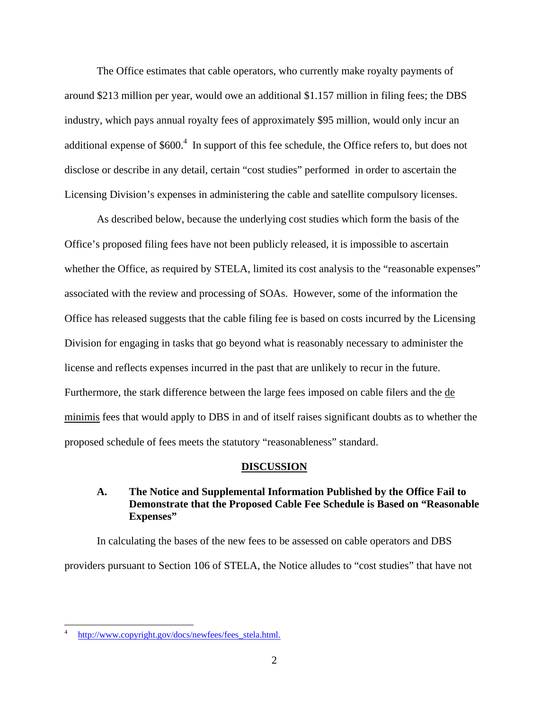The Office estimates that cable operators, who currently make royalty payments of around \$213 million per year, would owe an additional \$1.157 million in filing fees; the DBS industry, which pays annual royalty fees of approximately \$95 million, would only incur an additional expense of  $$600.<sup>4</sup>$  In support of this fee schedule, the Office refers to, but does not disclose or describe in any detail, certain "cost studies" performed in order to ascertain the Licensing Division's expenses in administering the cable and satellite compulsory licenses.

As described below, because the underlying cost studies which form the basis of the Office's proposed filing fees have not been publicly released, it is impossible to ascertain whether the Office, as required by STELA, limited its cost analysis to the "reasonable expenses" associated with the review and processing of SOAs. However, some of the information the Office has released suggests that the cable filing fee is based on costs incurred by the Licensing Division for engaging in tasks that go beyond what is reasonably necessary to administer the license and reflects expenses incurred in the past that are unlikely to recur in the future. Furthermore, the stark difference between the large fees imposed on cable filers and the <u>de</u> minimis fees that would apply to DBS in and of itself raises significant doubts as to whether the proposed schedule of fees meets the statutory "reasonableness" standard.

#### **DISCUSSION**

## **A. The Notice and Supplemental Information Published by the Office Fail to Demonstrate that the Proposed Cable Fee Schedule is Based on "Reasonable Expenses"**

In calculating the bases of the new fees to be assessed on cable operators and DBS providers pursuant to Section 106 of STELA, the Notice alludes to "cost studies" that have not

<sup>4</sup> http://www.copyright.gov/docs/newfees/fees\_stela.html.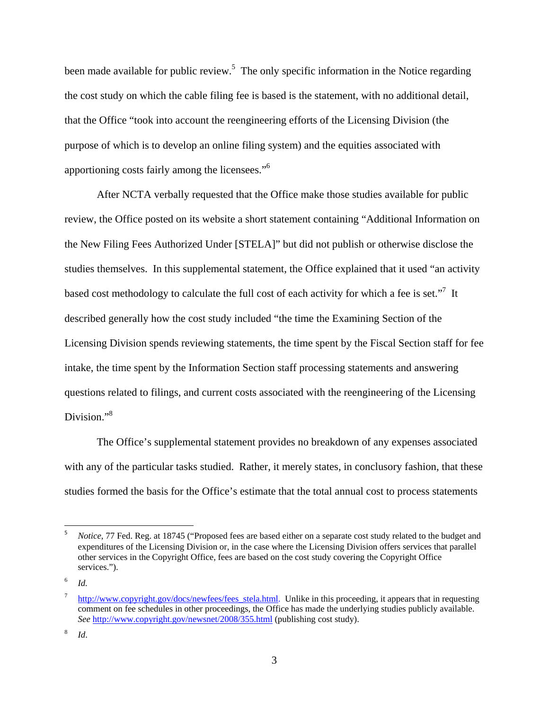been made available for public review.<sup>5</sup> The only specific information in the Notice regarding the cost study on which the cable filing fee is based is the statement, with no additional detail, that the Office "took into account the reengineering efforts of the Licensing Division (the purpose of which is to develop an online filing system) and the equities associated with apportioning costs fairly among the licensees."<sup>6</sup>

After NCTA verbally requested that the Office make those studies available for public review, the Office posted on its website a short statement containing "Additional Information on the New Filing Fees Authorized Under [STELA]" but did not publish or otherwise disclose the studies themselves. In this supplemental statement, the Office explained that it used "an activity based cost methodology to calculate the full cost of each activity for which a fee is set."<sup>7</sup> It described generally how the cost study included "the time the Examining Section of the Licensing Division spends reviewing statements, the time spent by the Fiscal Section staff for fee intake, the time spent by the Information Section staff processing statements and answering questions related to filings, and current costs associated with the reengineering of the Licensing Division."<sup>8</sup>

The Office's supplemental statement provides no breakdown of any expenses associated with any of the particular tasks studied. Rather, it merely states, in conclusory fashion, that these studies formed the basis for the Office's estimate that the total annual cost to process statements

<sup>5</sup> *Notice*, 77 Fed. Reg. at 18745 ("Proposed fees are based either on a separate cost study related to the budget and expenditures of the Licensing Division or, in the case where the Licensing Division offers services that parallel other services in the Copyright Office, fees are based on the cost study covering the Copyright Office services.").

<sup>6</sup> *Id.*

<sup>7</sup> http://www.copyright.gov/docs/newfees/fees\_stela.html. Unlike in this proceeding, it appears that in requesting comment on fee schedules in other proceedings, the Office has made the underlying studies publicly available. *See* http://www.copyright.gov/newsnet/2008/355.html (publishing cost study).

<sup>8</sup> *Id*.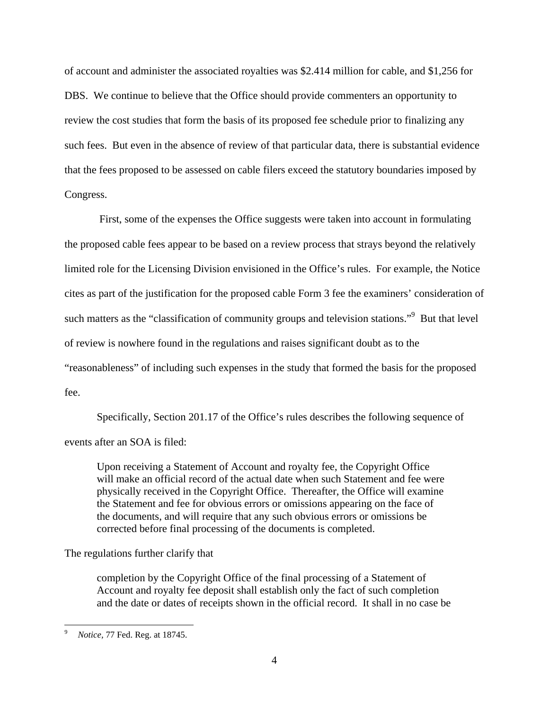of account and administer the associated royalties was \$2.414 million for cable, and \$1,256 for DBS. We continue to believe that the Office should provide commenters an opportunity to review the cost studies that form the basis of its proposed fee schedule prior to finalizing any such fees. But even in the absence of review of that particular data, there is substantial evidence that the fees proposed to be assessed on cable filers exceed the statutory boundaries imposed by Congress.

 First, some of the expenses the Office suggests were taken into account in formulating the proposed cable fees appear to be based on a review process that strays beyond the relatively limited role for the Licensing Division envisioned in the Office's rules. For example, the Notice cites as part of the justification for the proposed cable Form 3 fee the examiners' consideration of such matters as the "classification of community groups and television stations."<sup>9</sup> But that level of review is nowhere found in the regulations and raises significant doubt as to the "reasonableness" of including such expenses in the study that formed the basis for the proposed fee.

Specifically, Section 201.17 of the Office's rules describes the following sequence of events after an SOA is filed:

Upon receiving a Statement of Account and royalty fee, the Copyright Office will make an official record of the actual date when such Statement and fee were physically received in the Copyright Office. Thereafter, the Office will examine the Statement and fee for obvious errors or omissions appearing on the face of the documents, and will require that any such obvious errors or omissions be corrected before final processing of the documents is completed.

### The regulations further clarify that

completion by the Copyright Office of the final processing of a Statement of Account and royalty fee deposit shall establish only the fact of such completion and the date or dates of receipts shown in the official record. It shall in no case be

 9 *Notice,* 77 Fed. Reg. at 18745.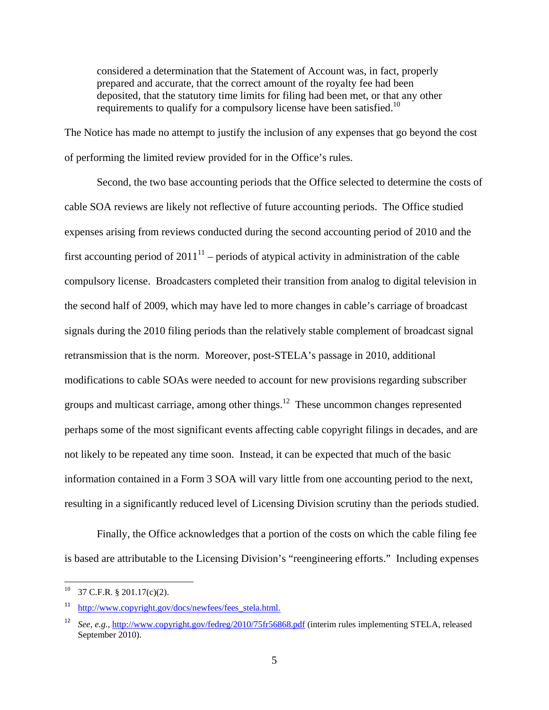considered a determination that the Statement of Account was, in fact, properly prepared and accurate, that the correct amount of the royalty fee had been deposited, that the statutory time limits for filing had been met, or that any other requirements to qualify for a compulsory license have been satisfied.<sup>10</sup>

The Notice has made no attempt to justify the inclusion of any expenses that go beyond the cost of performing the limited review provided for in the Office's rules.

Second, the two base accounting periods that the Office selected to determine the costs of cable SOA reviews are likely not reflective of future accounting periods. The Office studied expenses arising from reviews conducted during the second accounting period of 2010 and the first accounting period of  $2011<sup>11</sup>$  – periods of atypical activity in administration of the cable compulsory license. Broadcasters completed their transition from analog to digital television in the second half of 2009, which may have led to more changes in cable's carriage of broadcast signals during the 2010 filing periods than the relatively stable complement of broadcast signal retransmission that is the norm. Moreover, post-STELA's passage in 2010, additional modifications to cable SOAs were needed to account for new provisions regarding subscriber groups and multicast carriage, among other things.<sup>12</sup> These uncommon changes represented perhaps some of the most significant events affecting cable copyright filings in decades, and are not likely to be repeated any time soon. Instead, it can be expected that much of the basic information contained in a Form 3 SOA will vary little from one accounting period to the next, resulting in a significantly reduced level of Licensing Division scrutiny than the periods studied.

Finally, the Office acknowledges that a portion of the costs on which the cable filing fee is based are attributable to the Licensing Division's "reengineering efforts." Including expenses

 $10$  37 C.F.R. § 201.17(c)(2).

<sup>&</sup>lt;sup>11</sup> http://www.copyright.gov/docs/newfees/fees\_stela.html.

<sup>12</sup> *See, e.g.,* http://www.copyright.gov/fedreg/2010/75fr56868.pdf (interim rules implementing STELA, released September 2010).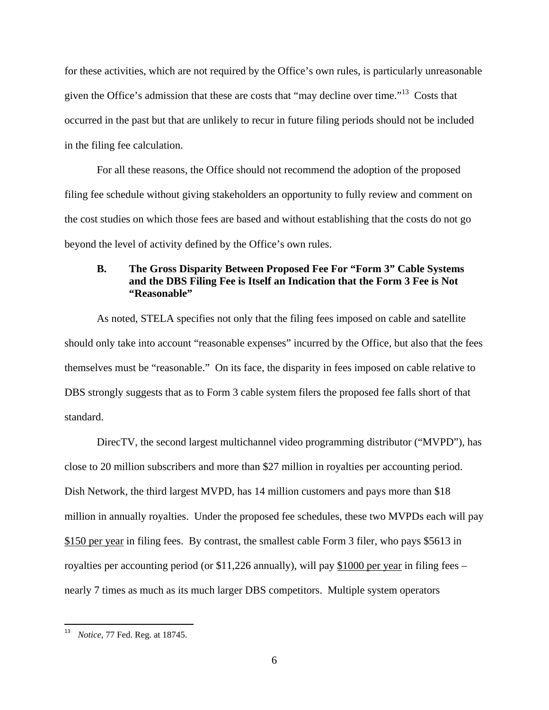for these activities, which are not required by the Office's own rules, is particularly unreasonable given the Office's admission that these are costs that "may decline over time."13 Costs that occurred in the past but that are unlikely to recur in future filing periods should not be included in the filing fee calculation.

 For all these reasons, the Office should not recommend the adoption of the proposed filing fee schedule without giving stakeholders an opportunity to fully review and comment on the cost studies on which those fees are based and without establishing that the costs do not go beyond the level of activity defined by the Office's own rules.

### **B. The Gross Disparity Between Proposed Fee For "Form 3" Cable Systems and the DBS Filing Fee is Itself an Indication that the Form 3 Fee is Not "Reasonable"**

As noted, STELA specifies not only that the filing fees imposed on cable and satellite should only take into account "reasonable expenses" incurred by the Office, but also that the fees themselves must be "reasonable." On its face, the disparity in fees imposed on cable relative to DBS strongly suggests that as to Form 3 cable system filers the proposed fee falls short of that standard.

DirecTV, the second largest multichannel video programming distributor ("MVPD"), has close to 20 million subscribers and more than \$27 million in royalties per accounting period. Dish Network, the third largest MVPD, has 14 million customers and pays more than \$18 million in annually royalties. Under the proposed fee schedules, these two MVPDs each will pay \$150 per year in filing fees. By contrast, the smallest cable Form 3 filer, who pays \$5613 in royalties per accounting period (or \$11,226 annually), will pay \$1000 per year in filing fees – nearly 7 times as much as its much larger DBS competitors. Multiple system operators

 <sup>13</sup> *Notice*, 77 Fed. Reg. at 18745.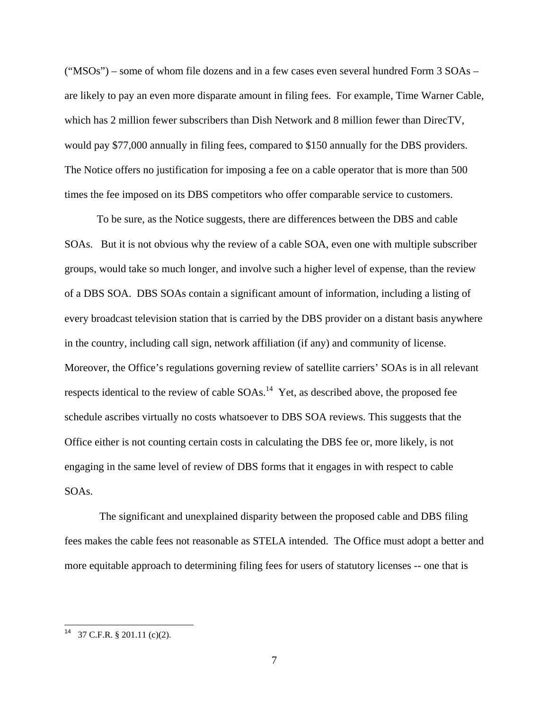("MSOs") – some of whom file dozens and in a few cases even several hundred Form 3 SOAs – are likely to pay an even more disparate amount in filing fees. For example, Time Warner Cable, which has 2 million fewer subscribers than Dish Network and 8 million fewer than DirecTV, would pay \$77,000 annually in filing fees, compared to \$150 annually for the DBS providers. The Notice offers no justification for imposing a fee on a cable operator that is more than 500 times the fee imposed on its DBS competitors who offer comparable service to customers.

To be sure, as the Notice suggests, there are differences between the DBS and cable SOAs. But it is not obvious why the review of a cable SOA, even one with multiple subscriber groups, would take so much longer, and involve such a higher level of expense, than the review of a DBS SOA. DBS SOAs contain a significant amount of information, including a listing of every broadcast television station that is carried by the DBS provider on a distant basis anywhere in the country, including call sign, network affiliation (if any) and community of license. Moreover, the Office's regulations governing review of satellite carriers' SOAs is in all relevant respects identical to the review of cable  $SOAs$ .<sup>14</sup> Yet, as described above, the proposed fee schedule ascribes virtually no costs whatsoever to DBS SOA reviews. This suggests that the Office either is not counting certain costs in calculating the DBS fee or, more likely, is not engaging in the same level of review of DBS forms that it engages in with respect to cable SOAs.

 The significant and unexplained disparity between the proposed cable and DBS filing fees makes the cable fees not reasonable as STELA intended. The Office must adopt a better and more equitable approach to determining filing fees for users of statutory licenses -- one that is

 $14$  37 C.F.R. § 201.11 (c)(2).